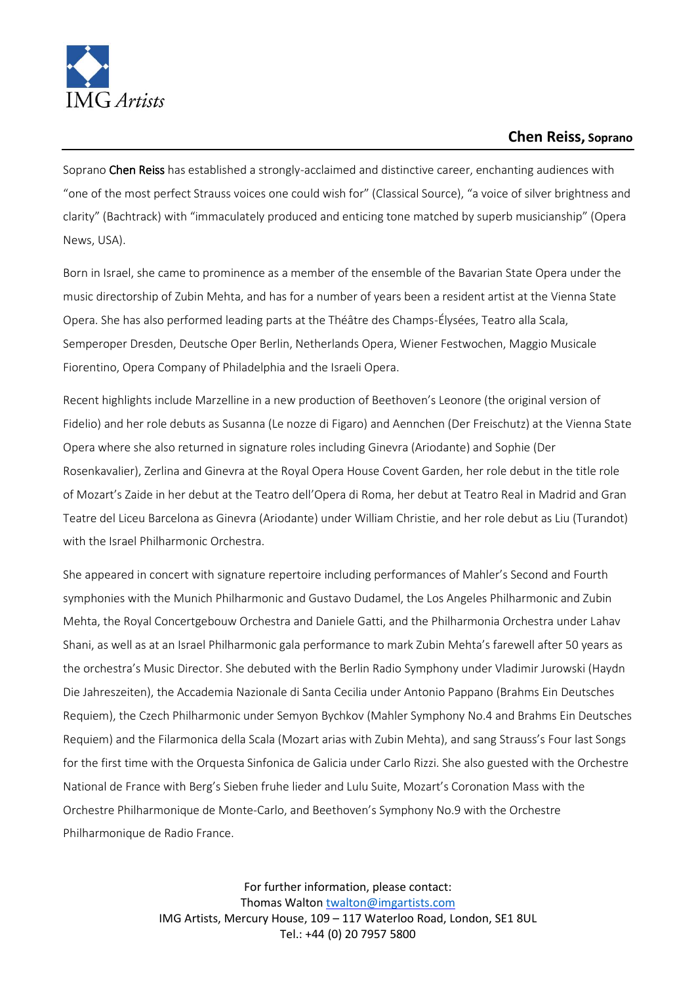

## **Chen Reiss, Soprano**

Soprano Chen Reiss has established a strongly-acclaimed and distinctive career, enchanting audiences with "one of the most perfect Strauss voices one could wish for" (Classical Source), "a voice of silver brightness and clarity" (Bachtrack) with "immaculately produced and enticing tone matched by superb musicianship" (Opera News, USA).

Born in Israel, she came to prominence as a member of the ensemble of the Bavarian State Opera under the music directorship of Zubin Mehta, and has for a number of years been a resident artist at the Vienna State Opera. She has also performed leading parts at the Théâtre des Champs-Élysées, Teatro alla Scala, Semperoper Dresden, Deutsche Oper Berlin, Netherlands Opera, Wiener Festwochen, Maggio Musicale Fiorentino, Opera Company of Philadelphia and the Israeli Opera.

Recent highlights include Marzelline in a new production of Beethoven's Leonore (the original version of Fidelio) and her role debuts as Susanna (Le nozze di Figaro) and Aennchen (Der Freischutz) at the Vienna State Opera where she also returned in signature roles including Ginevra (Ariodante) and Sophie (Der Rosenkavalier), Zerlina and Ginevra at the Royal Opera House Covent Garden, her role debut in the title role of Mozart's Zaide in her debut at the Teatro dell'Opera di Roma, her debut at Teatro Real in Madrid and Gran Teatre del Liceu Barcelona as Ginevra (Ariodante) under William Christie, and her role debut as Liu (Turandot) with the Israel Philharmonic Orchestra.

She appeared in concert with signature repertoire including performances of Mahler's Second and Fourth symphonies with the Munich Philharmonic and Gustavo Dudamel, the Los Angeles Philharmonic and Zubin Mehta, the Royal Concertgebouw Orchestra and Daniele Gatti, and the Philharmonia Orchestra under Lahav Shani, as well as at an Israel Philharmonic gala performance to mark Zubin Mehta's farewell after 50 years as the orchestra's Music Director. She debuted with the Berlin Radio Symphony under Vladimir Jurowski (Haydn Die Jahreszeiten), the Accademia Nazionale di Santa Cecilia under Antonio Pappano (Brahms Ein Deutsches Requiem), the Czech Philharmonic under Semyon Bychkov (Mahler Symphony No.4 and Brahms Ein Deutsches Requiem) and the Filarmonica della Scala (Mozart arias with Zubin Mehta), and sang Strauss's Four last Songs for the first time with the Orquesta Sinfonica de Galicia under Carlo Rizzi. She also guested with the Orchestre National de France with Berg's Sieben fruhe lieder and Lulu Suite, Mozart's Coronation Mass with the Orchestre Philharmonique de Monte-Carlo, and Beethoven's Symphony No.9 with the Orchestre Philharmonique de Radio France.

> For further information, please contact: Thomas Walton [twalton@imgartists.com](mailto:twalton@imgartists.com) IMG Artists, Mercury House, 109 – 117 Waterloo Road, London, SE1 8UL Tel.: +44 (0) 20 7957 5800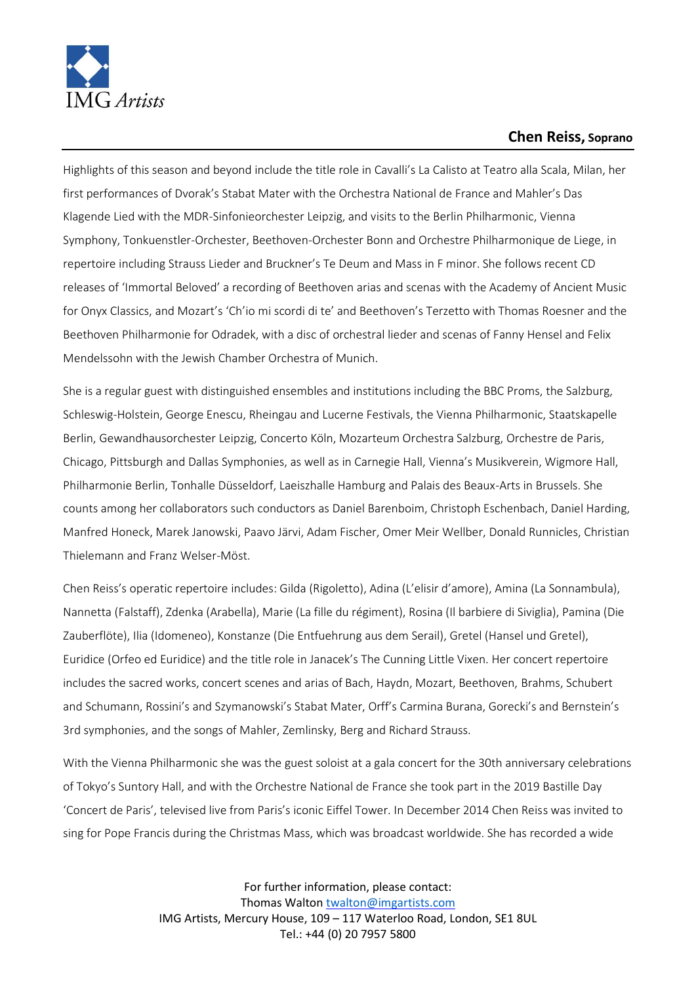

## **Chen Reiss, Soprano**

Highlights of this season and beyond include the title role in Cavalli's La Calisto at Teatro alla Scala, Milan, her first performances of Dvorak's Stabat Mater with the Orchestra National de France and Mahler's Das Klagende Lied with the MDR-Sinfonieorchester Leipzig, and visits to the Berlin Philharmonic, Vienna Symphony, Tonkuenstler-Orchester, Beethoven-Orchester Bonn and Orchestre Philharmonique de Liege, in repertoire including Strauss Lieder and Bruckner's Te Deum and Mass in F minor. She follows recent CD releases of 'Immortal Beloved' a recording of Beethoven arias and scenas with the Academy of Ancient Music for Onyx Classics, and Mozart's 'Ch'io mi scordi di te' and Beethoven's Terzetto with Thomas Roesner and the Beethoven Philharmonie for Odradek, with a disc of orchestral lieder and scenas of Fanny Hensel and Felix Mendelssohn with the Jewish Chamber Orchestra of Munich.

She is a regular guest with distinguished ensembles and institutions including the BBC Proms, the Salzburg, Schleswig-Holstein, George Enescu, Rheingau and Lucerne Festivals, the Vienna Philharmonic, Staatskapelle Berlin, Gewandhausorchester Leipzig, Concerto Köln, Mozarteum Orchestra Salzburg, Orchestre de Paris, Chicago, Pittsburgh and Dallas Symphonies, as well as in Carnegie Hall, Vienna's Musikverein, Wigmore Hall, Philharmonie Berlin, Tonhalle Düsseldorf, Laeiszhalle Hamburg and Palais des Beaux-Arts in Brussels. She counts among her collaborators such conductors as Daniel Barenboim, Christoph Eschenbach, Daniel Harding, Manfred Honeck, Marek Janowski, Paavo Järvi, Adam Fischer, Omer Meir Wellber, Donald Runnicles, Christian Thielemann and Franz Welser-Möst.

Chen Reiss's operatic repertoire includes: Gilda (Rigoletto), Adina (L'elisir d'amore), Amina (La Sonnambula), Nannetta (Falstaff), Zdenka (Arabella), Marie (La fille du régiment), Rosina (Il barbiere di Siviglia), Pamina (Die Zauberflöte), Ilia (Idomeneo), Konstanze (Die Entfuehrung aus dem Serail), Gretel (Hansel und Gretel), Euridice (Orfeo ed Euridice) and the title role in Janacek's The Cunning Little Vixen. Her concert repertoire includes the sacred works, concert scenes and arias of Bach, Haydn, Mozart, Beethoven, Brahms, Schubert and Schumann, Rossini's and Szymanowski's Stabat Mater, Orff's Carmina Burana, Gorecki's and Bernstein's 3rd symphonies, and the songs of Mahler, Zemlinsky, Berg and Richard Strauss.

With the Vienna Philharmonic she was the guest soloist at a gala concert for the 30th anniversary celebrations of Tokyo's Suntory Hall, and with the Orchestre National de France she took part in the 2019 Bastille Day 'Concert de Paris', televised live from Paris's iconic Eiffel Tower. In December 2014 Chen Reiss was invited to sing for Pope Francis during the Christmas Mass, which was broadcast worldwide. She has recorded a wide

> For further information, please contact: Thomas Walton [twalton@imgartists.com](mailto:twalton@imgartists.com) IMG Artists, Mercury House, 109 – 117 Waterloo Road, London, SE1 8UL Tel.: +44 (0) 20 7957 5800